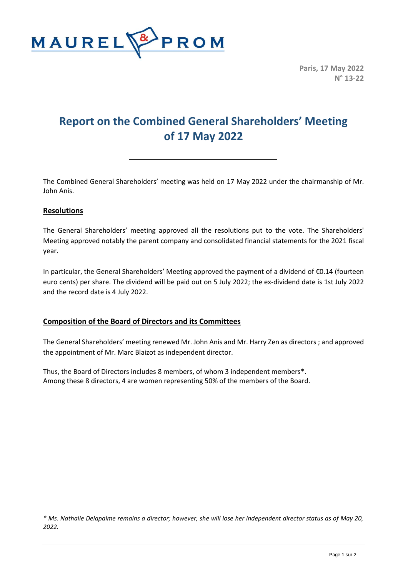

**Paris, 17 May 2022 N° 13-22**

# **Report on the Combined General Shareholders' Meeting of 17 May 2022**

The Combined General Shareholders' meeting was held on 17 May 2022 under the chairmanship of Mr. John Anis.

# **Resolutions**

The General Shareholders' meeting approved all the resolutions put to the vote. The Shareholders' Meeting approved notably the parent company and consolidated financial statements for the 2021 fiscal year.

In particular, the General Shareholders' Meeting approved the payment of a dividend of €0.14 (fourteen euro cents) per share. The dividend will be paid out on 5 July 2022; the ex-dividend date is 1st July 2022 and the record date is 4 July 2022.

# **Composition of the Board of Directors and its Committees**

The General Shareholders' meeting renewed Mr. John Anis and Mr. Harry Zen as directors ; and approved the appointment of Mr. Marc Blaizot as independent director.

Thus, the Board of Directors includes 8 members, of whom 3 independent members\*. Among these 8 directors, 4 are women representing 50% of the members of the Board.

*\* Ms. Nathalie Delapalme remains a director; however, she will lose her independent director status as of May 20, 2022.*